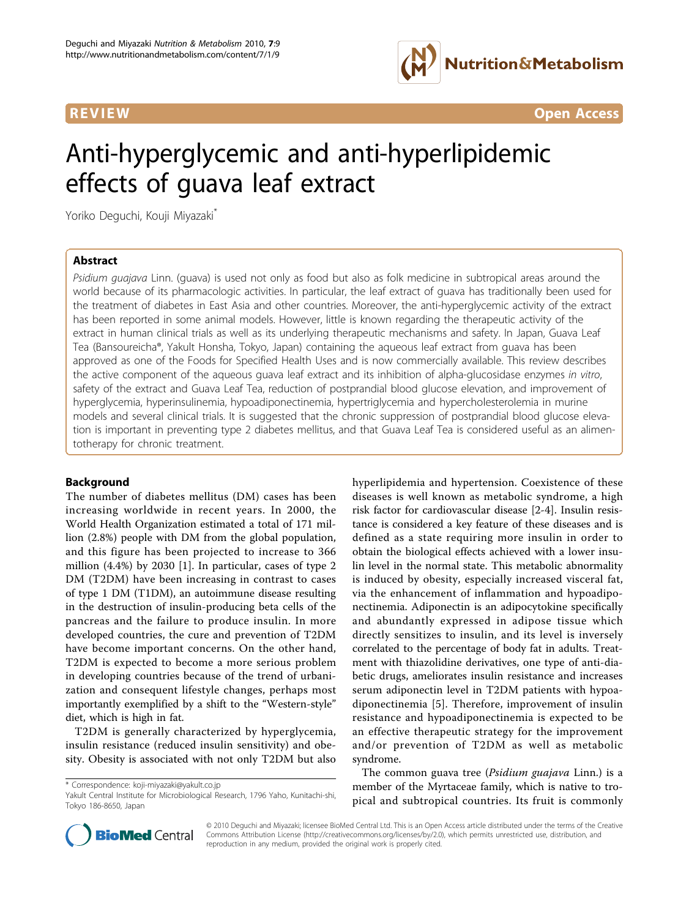

**REVIEW CONSTRUCTION CONSTRUCTION CONSTRUCTS** 

# Anti-hyperglycemic and anti-hyperlipidemic effects of guava leaf extract

Yoriko Deguchi, Kouji Miyazaki\*

# Abstract

Psidium guajava Linn. (guava) is used not only as food but also as folk medicine in subtropical areas around the world because of its pharmacologic activities. In particular, the leaf extract of guava has traditionally been used for the treatment of diabetes in East Asia and other countries. Moreover, the anti-hyperglycemic activity of the extract has been reported in some animal models. However, little is known regarding the therapeutic activity of the extract in human clinical trials as well as its underlying therapeutic mechanisms and safety. In Japan, Guava Leaf Tea (Bansoureicha®, Yakult Honsha, Tokyo, Japan) containing the aqueous leaf extract from guava has been approved as one of the Foods for Specified Health Uses and is now commercially available. This review describes the active component of the aqueous guava leaf extract and its inhibition of alpha-glucosidase enzymes in vitro, safety of the extract and Guava Leaf Tea, reduction of postprandial blood glucose elevation, and improvement of hyperglycemia, hyperinsulinemia, hypoadiponectinemia, hypertriglycemia and hypercholesterolemia in murine models and several clinical trials. It is suggested that the chronic suppression of postprandial blood glucose elevation is important in preventing type 2 diabetes mellitus, and that Guava Leaf Tea is considered useful as an alimentotherapy for chronic treatment.

# **Background**

The number of diabetes mellitus (DM) cases has been increasing worldwide in recent years. In 2000, the World Health Organization estimated a total of 171 million (2.8%) people with DM from the global population, and this figure has been projected to increase to 366 million (4.4%) by 2030 [[1\]](#page-8-0). In particular, cases of type 2 DM (T2DM) have been increasing in contrast to cases of type 1 DM (T1DM), an autoimmune disease resulting in the destruction of insulin-producing beta cells of the pancreas and the failure to produce insulin. In more developed countries, the cure and prevention of T2DM have become important concerns. On the other hand, T2DM is expected to become a more serious problem in developing countries because of the trend of urbanization and consequent lifestyle changes, perhaps most importantly exemplified by a shift to the "Western-style" diet, which is high in fat.

T2DM is generally characterized by hyperglycemia, insulin resistance (reduced insulin sensitivity) and obesity. Obesity is associated with not only T2DM but also

\* Correspondence: [koji-miyazaki@yakult.co.jp](mailto:koji-miyazaki@yakult.co.jp)

hyperlipidemia and hypertension. Coexistence of these diseases is well known as metabolic syndrome, a high risk factor for cardiovascular disease [[2-4](#page-8-0)]. Insulin resistance is considered a key feature of these diseases and is defined as a state requiring more insulin in order to obtain the biological effects achieved with a lower insulin level in the normal state. This metabolic abnormality is induced by obesity, especially increased visceral fat, via the enhancement of inflammation and hypoadiponectinemia. Adiponectin is an adipocytokine specifically and abundantly expressed in adipose tissue which directly sensitizes to insulin, and its level is inversely correlated to the percentage of body fat in adults. Treatment with thiazolidine derivatives, one type of anti-diabetic drugs, ameliorates insulin resistance and increases serum adiponectin level in T2DM patients with hypoadiponectinemia [[5\]](#page-8-0). Therefore, improvement of insulin resistance and hypoadiponectinemia is expected to be an effective therapeutic strategy for the improvement and/or prevention of T2DM as well as metabolic syndrome.

The common guava tree (*Psidium guajava* Linn.) is a member of the Myrtaceae family, which is native to tropical and subtropical countries. Its fruit is commonly



© 2010 Deguchi and Miyazaki; licensee BioMed Central Ltd. This is an Open Access article distributed under the terms of the Creative Commons Attribution License [\(http://creativecommons.org/licenses/by/2.0](http://creativecommons.org/licenses/by/2.0)), which permits unrestricted use, distribution, and reproduction in any medium, provided the original work is properly cited.

Yakult Central Institute for Microbiological Research, 1796 Yaho, Kunitachi-shi, Tokyo 186-8650, Japan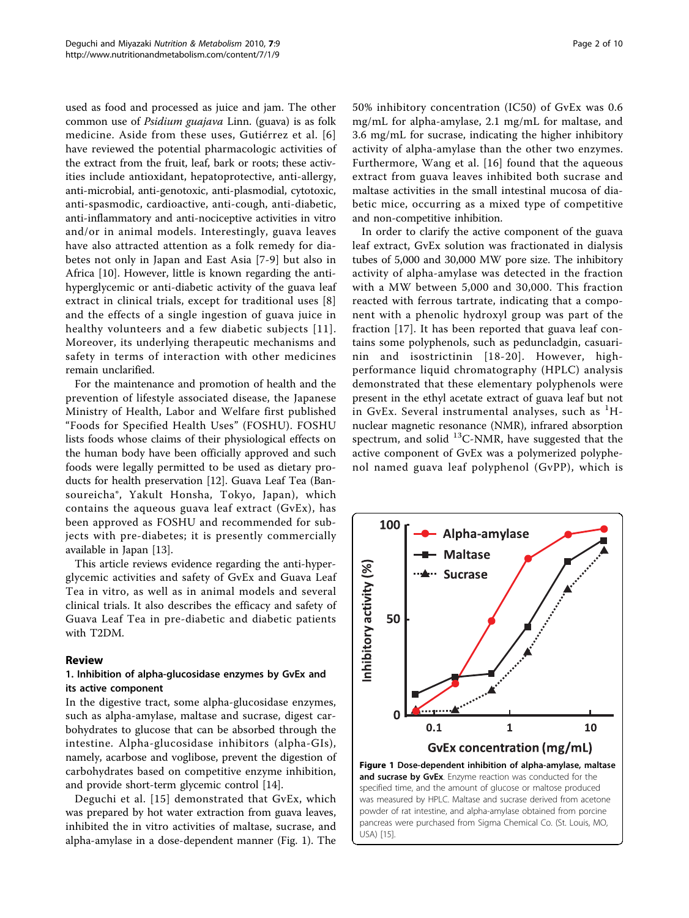used as food and processed as juice and jam. The other common use of Psidium guajava Linn. (guava) is as folk medicine. Aside from these uses, Gutiérrez et al. [[6](#page-8-0)] have reviewed the potential pharmacologic activities of the extract from the fruit, leaf, bark or roots; these activities include antioxidant, hepatoprotective, anti-allergy, anti-microbial, anti-genotoxic, anti-plasmodial, cytotoxic, anti-spasmodic, cardioactive, anti-cough, anti-diabetic, anti-inflammatory and anti-nociceptive activities in vitro and/or in animal models. Interestingly, guava leaves have also attracted attention as a folk remedy for diabetes not only in Japan and East Asia [\[7-9](#page-8-0)] but also in Africa [\[10](#page-8-0)]. However, little is known regarding the antihyperglycemic or anti-diabetic activity of the guava leaf extract in clinical trials, except for traditional uses [\[8](#page-8-0)] and the effects of a single ingestion of guava juice in healthy volunteers and a few diabetic subjects [[11\]](#page-8-0). Moreover, its underlying therapeutic mechanisms and safety in terms of interaction with other medicines remain unclarified.

For the maintenance and promotion of health and the prevention of lifestyle associated disease, the Japanese Ministry of Health, Labor and Welfare first published "Foods for Specified Health Uses" (FOSHU). FOSHU lists foods whose claims of their physiological effects on the human body have been officially approved and such foods were legally permitted to be used as dietary products for health preservation [[12\]](#page-8-0). Guava Leaf Tea (Bansoureicha®, Yakult Honsha, Tokyo, Japan), which contains the aqueous guava leaf extract (GvEx), has been approved as FOSHU and recommended for subjects with pre-diabetes; it is presently commercially available in Japan [[13](#page-8-0)].

This article reviews evidence regarding the anti-hyperglycemic activities and safety of GvEx and Guava Leaf Tea in vitro, as well as in animal models and several clinical trials. It also describes the efficacy and safety of Guava Leaf Tea in pre-diabetic and diabetic patients with T2DM.

#### Review

# 1. Inhibition of alpha-glucosidase enzymes by GvEx and its active component

In the digestive tract, some alpha-glucosidase enzymes, such as alpha-amylase, maltase and sucrase, digest carbohydrates to glucose that can be absorbed through the intestine. Alpha-glucosidase inhibitors (alpha-GIs), namely, acarbose and voglibose, prevent the digestion of carbohydrates based on competitive enzyme inhibition, and provide short-term glycemic control [\[14\]](#page-8-0).

Deguchi et al. [\[15\]](#page-8-0) demonstrated that GvEx, which was prepared by hot water extraction from guava leaves, inhibited the in vitro activities of maltase, sucrase, and alpha-amylase in a dose-dependent manner (Fig. 1). The 50% inhibitory concentration (IC50) of GvEx was 0.6 mg/mL for alpha-amylase, 2.1 mg/mL for maltase, and 3.6 mg/mL for sucrase, indicating the higher inhibitory activity of alpha-amylase than the other two enzymes. Furthermore, Wang et al. [\[16](#page-8-0)] found that the aqueous extract from guava leaves inhibited both sucrase and maltase activities in the small intestinal mucosa of diabetic mice, occurring as a mixed type of competitive and non-competitive inhibition.

In order to clarify the active component of the guava leaf extract, GvEx solution was fractionated in dialysis tubes of 5,000 and 30,000 MW pore size. The inhibitory activity of alpha-amylase was detected in the fraction with a MW between 5,000 and 30,000. This fraction reacted with ferrous tartrate, indicating that a component with a phenolic hydroxyl group was part of the fraction [\[17](#page-8-0)]. It has been reported that guava leaf contains some polyphenols, such as peduncladgin, casuarinin and isostrictinin [[18-20\]](#page-8-0). However, highperformance liquid chromatography (HPLC) analysis demonstrated that these elementary polyphenols were present in the ethyl acetate extract of guava leaf but not in GvEx. Several instrumental analyses, such as  ${}^{1}H$ nuclear magnetic resonance (NMR), infrared absorption spectrum, and solid  $^{13}$ C-NMR, have suggested that the active component of GvEx was a polymerized polyphenol named guava leaf polyphenol (GvPP), which is

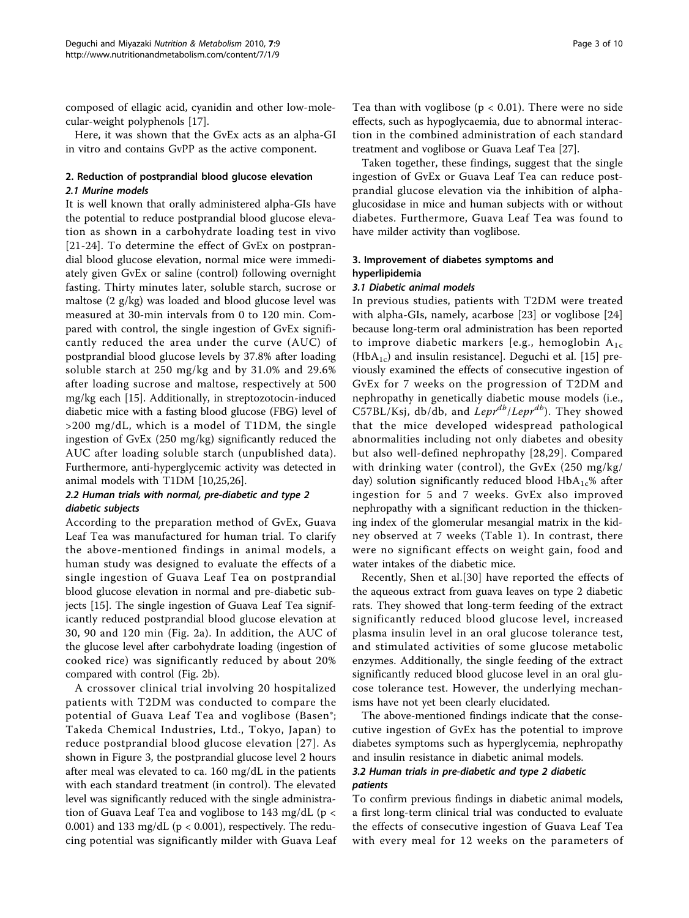composed of ellagic acid, cyanidin and other low-molecular-weight polyphenols [[17\]](#page-8-0).

Here, it was shown that the GvEx acts as an alpha-GI in vitro and contains GvPP as the active component.

#### 2. Reduction of postprandial blood glucose elevation 2.1 Murine models

It is well known that orally administered alpha-GIs have the potential to reduce postprandial blood glucose elevation as shown in a carbohydrate loading test in vivo [[21](#page-8-0)-[24\]](#page-8-0). To determine the effect of GvEx on postprandial blood glucose elevation, normal mice were immediately given GvEx or saline (control) following overnight fasting. Thirty minutes later, soluble starch, sucrose or maltose (2 g/kg) was loaded and blood glucose level was measured at 30-min intervals from 0 to 120 min. Compared with control, the single ingestion of GvEx significantly reduced the area under the curve (AUC) of postprandial blood glucose levels by 37.8% after loading soluble starch at 250 mg/kg and by 31.0% and 29.6% after loading sucrose and maltose, respectively at 500 mg/kg each [[15\]](#page-8-0). Additionally, in streptozotocin-induced diabetic mice with a fasting blood glucose (FBG) level of >200 mg/dL, which is a model of T1DM, the single ingestion of GvEx (250 mg/kg) significantly reduced the AUC after loading soluble starch (unpublished data). Furthermore, anti-hyperglycemic activity was detected in animal models with T1DM [[10](#page-8-0),[25,26](#page-8-0)].

# 2.2 Human trials with normal, pre-diabetic and type 2 diabetic subjects

According to the preparation method of GvEx, Guava Leaf Tea was manufactured for human trial. To clarify the above-mentioned findings in animal models, a human study was designed to evaluate the effects of a single ingestion of Guava Leaf Tea on postprandial blood glucose elevation in normal and pre-diabetic subjects [\[15](#page-8-0)]. The single ingestion of Guava Leaf Tea significantly reduced postprandial blood glucose elevation at 30, 90 and 120 min (Fig. [2a](#page-3-0)). In addition, the AUC of the glucose level after carbohydrate loading (ingestion of cooked rice) was significantly reduced by about 20% compared with control (Fig. [2b\)](#page-3-0).

A crossover clinical trial involving 20 hospitalized patients with T2DM was conducted to compare the potential of Guava Leaf Tea and voglibose (Basen®; Takeda Chemical Industries, Ltd., Tokyo, Japan) to reduce postprandial blood glucose elevation [[27](#page-8-0)]. As shown in Figure [3,](#page-3-0) the postprandial glucose level 2 hours after meal was elevated to ca. 160 mg/dL in the patients with each standard treatment (in control). The elevated level was significantly reduced with the single administration of Guava Leaf Tea and voglibose to 143 mg/dL ( $p <$ 0.001) and 133 mg/dL ( $p < 0.001$ ), respectively. The reducing potential was significantly milder with Guava Leaf Tea than with voglibose ( $p < 0.01$ ). There were no side effects, such as hypoglycaemia, due to abnormal interaction in the combined administration of each standard treatment and voglibose or Guava Leaf Tea [\[27\]](#page-8-0).

Taken together, these findings, suggest that the single ingestion of GvEx or Guava Leaf Tea can reduce postprandial glucose elevation via the inhibition of alphaglucosidase in mice and human subjects with or without diabetes. Furthermore, Guava Leaf Tea was found to have milder activity than voglibose.

# 3. Improvement of diabetes symptoms and hyperlipidemia

#### 3.1 Diabetic animal models

In previous studies, patients with T2DM were treated with alpha-GIs, namely, acarbose [[23\]](#page-8-0) or voglibose [\[24](#page-8-0)] because long-term oral administration has been reported to improve diabetic markers [e.g., hemoglobin  $A_{1c}$  $(HbA<sub>1c</sub>)$  and insulin resistance]. Deguchi et al. [[15](#page-8-0)] previously examined the effects of consecutive ingestion of GvEx for 7 weeks on the progression of T2DM and nephropathy in genetically diabetic mouse models (i.e., C57BL/Ksj, db/db, and  $Lepr^{db}/Lepr^{db}$ ). They showed that the mice developed widespread pathological abnormalities including not only diabetes and obesity but also well-defined nephropathy [\[28,29\]](#page-8-0). Compared with drinking water (control), the GvEx (250 mg/kg/ day) solution significantly reduced blood  $HbA_{1c}$ % after ingestion for 5 and 7 weeks. GvEx also improved nephropathy with a significant reduction in the thickening index of the glomerular mesangial matrix in the kidney observed at 7 weeks (Table [1](#page-4-0)). In contrast, there were no significant effects on weight gain, food and water intakes of the diabetic mice.

Recently, Shen et al.[\[30\]](#page-8-0) have reported the effects of the aqueous extract from guava leaves on type 2 diabetic rats. They showed that long-term feeding of the extract significantly reduced blood glucose level, increased plasma insulin level in an oral glucose tolerance test, and stimulated activities of some glucose metabolic enzymes. Additionally, the single feeding of the extract significantly reduced blood glucose level in an oral glucose tolerance test. However, the underlying mechanisms have not yet been clearly elucidated.

The above-mentioned findings indicate that the consecutive ingestion of GvEx has the potential to improve diabetes symptoms such as hyperglycemia, nephropathy and insulin resistance in diabetic animal models.

# 3.2 Human trials in pre-diabetic and type 2 diabetic patients

To confirm previous findings in diabetic animal models, a first long-term clinical trial was conducted to evaluate the effects of consecutive ingestion of Guava Leaf Tea with every meal for 12 weeks on the parameters of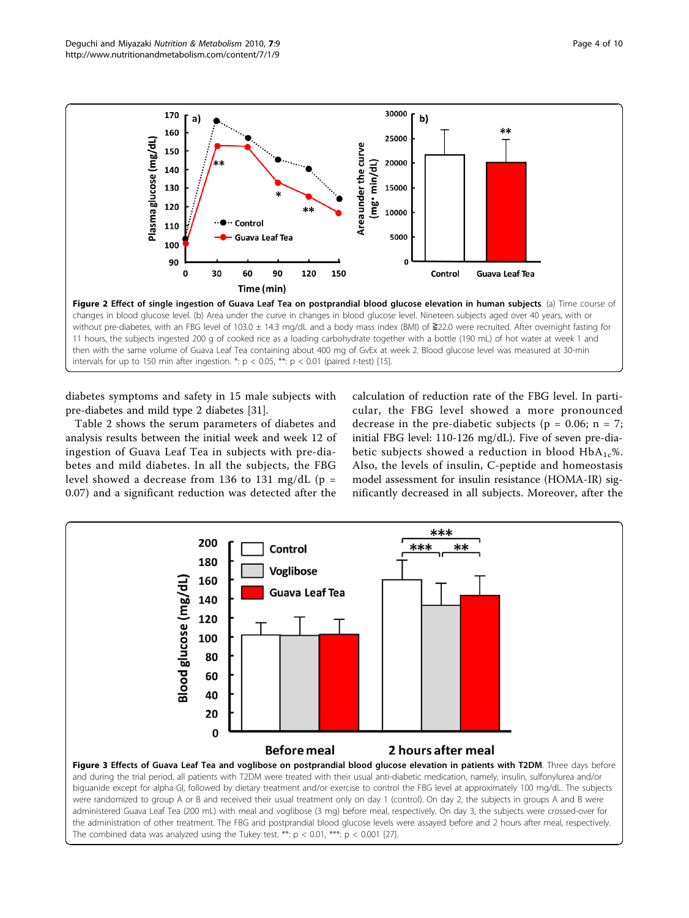<span id="page-3-0"></span>

diabetes symptoms and safety in 15 male subjects with pre-diabetes and mild type 2 diabetes [\[31\]](#page-8-0).

Table [2](#page-4-0) shows the serum parameters of diabetes and analysis results between the initial week and week 12 of ingestion of Guava Leaf Tea in subjects with pre-diabetes and mild diabetes. In all the subjects, the FBG level showed a decrease from 136 to 131 mg/dL ( $p =$ 0.07) and a significant reduction was detected after the calculation of reduction rate of the FBG level. In particular, the FBG level showed a more pronounced decrease in the pre-diabetic subjects ( $p = 0.06$ ;  $n = 7$ ; initial FBG level: 110-126 mg/dL). Five of seven pre-diabetic subjects showed a reduction in blood  $HbA_{1c}\$ %. Also, the levels of insulin, C-peptide and homeostasis model assessment for insulin resistance (HOMA-IR) significantly decreased in all subjects. Moreover, after the

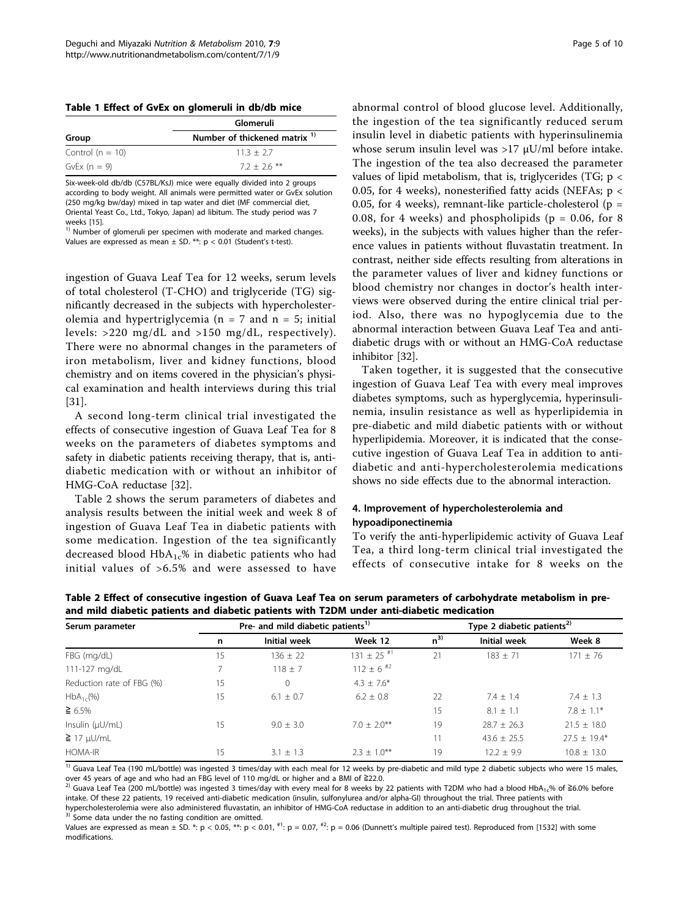<span id="page-4-0"></span>

|  |  |  |  |  |  | Table 1 Effect of GvEx on glomeruli in db/db mice |  |  |  |
|--|--|--|--|--|--|---------------------------------------------------|--|--|--|
|--|--|--|--|--|--|---------------------------------------------------|--|--|--|

|                    | Glomeruli                                |  |  |  |
|--------------------|------------------------------------------|--|--|--|
| Group              | Number of thickened matrix <sup>1)</sup> |  |  |  |
| Control $(n = 10)$ | $11.3 + 2.7$                             |  |  |  |
| GvEx $(n = 9)$     | $7.2 + 2.6$ **                           |  |  |  |

Six-week-old db/db (C57BL/KsJ) mice were equally divided into 2 groups according to body weight. All animals were permitted water or GvEx solution (250 mg/kg bw/day) mixed in tap water and diet (MF commercial diet, Oriental Yeast Co., Ltd., Tokyo, Japan) ad libitum. The study period was 7 weeks [\[15](#page-8-0)].

1) Number of glomeruli per specimen with moderate and marked changes. Values are expressed as mean  $\pm$  SD. \*\*: p < 0.01 (Student's t-test).

ingestion of Guava Leaf Tea for 12 weeks, serum levels of total cholesterol (T-CHO) and triglyceride (TG) significantly decreased in the subjects with hypercholesterolemia and hypertriglycemia ( $n = 7$  and  $n = 5$ ; initial levels: >220 mg/dL and >150 mg/dL, respectively). There were no abnormal changes in the parameters of iron metabolism, liver and kidney functions, blood chemistry and on items covered in the physician's physical examination and health interviews during this trial [[31\]](#page-8-0).

A second long-term clinical trial investigated the effects of consecutive ingestion of Guava Leaf Tea for 8 weeks on the parameters of diabetes symptoms and safety in diabetic patients receiving therapy, that is, antidiabetic medication with or without an inhibitor of HMG-CoA reductase [[32\]](#page-8-0).

Table 2 shows the serum parameters of diabetes and analysis results between the initial week and week 8 of ingestion of Guava Leaf Tea in diabetic patients with some medication. Ingestion of the tea significantly decreased blood  $HbA_{1c}\%$  in diabetic patients who had initial values of >6.5% and were assessed to have

abnormal control of blood glucose level. Additionally, the ingestion of the tea significantly reduced serum insulin level in diabetic patients with hyperinsulinemia whose serum insulin level was >17 μU/ml before intake. The ingestion of the tea also decreased the parameter values of lipid metabolism, that is, triglycerides (TG; p < 0.05, for 4 weeks), nonesterified fatty acids (NEFAs; p < 0.05, for 4 weeks), remnant-like particle-cholesterol ( $p =$ 0.08, for 4 weeks) and phospholipids ( $p = 0.06$ , for 8 weeks), in the subjects with values higher than the reference values in patients without fluvastatin treatment. In contrast, neither side effects resulting from alterations in the parameter values of liver and kidney functions or blood chemistry nor changes in doctor's health interviews were observed during the entire clinical trial period. Also, there was no hypoglycemia due to the abnormal interaction between Guava Leaf Tea and antidiabetic drugs with or without an HMG-CoA reductase inhibitor [\[32](#page-8-0)].

Taken together, it is suggested that the consecutive ingestion of Guava Leaf Tea with every meal improves diabetes symptoms, such as hyperglycemia, hyperinsulinemia, insulin resistance as well as hyperlipidemia in pre-diabetic and mild diabetic patients with or without hyperlipidemia. Moreover, it is indicated that the consecutive ingestion of Guava Leaf Tea in addition to antidiabetic and anti-hypercholesterolemia medications shows no side effects due to the abnormal interaction.

# 4. Improvement of hypercholesterolemia and hypoadiponectinemia

To verify the anti-hyperlipidemic activity of Guava Leaf Tea, a third long-term clinical trial investigated the effects of consecutive intake for 8 weeks on the

| Serum parameter           |    | Pre- and mild diabetic patients <sup>1)</sup> |                            | Type 2 diabetic patients <sup>2)</sup> |                     |                  |  |
|---------------------------|----|-----------------------------------------------|----------------------------|----------------------------------------|---------------------|------------------|--|
|                           | n  | <b>Initial week</b>                           | Week 12                    | $n^{3}$                                | <b>Initial week</b> | Week 8           |  |
| FBG (mg/dL)               | 15 | $136 \pm 22$                                  | $131 \pm 25$ <sup>#1</sup> | 21                                     | $183 + 71$          | $171 \pm 76$     |  |
| 111-127 mg/dL             |    | $118 + 7$                                     | $112 \pm 6$ <sup>#2</sup>  |                                        |                     |                  |  |
| Reduction rate of FBG (%) | 15 | $\Omega$                                      | $4.3 + 7.6*$               |                                        |                     |                  |  |
| $HbA_{1c}(\%)$            | 15 | $6.1 + 0.7$                                   | $6.2 + 0.8$                | 22                                     | $7.4 + 1.4$         | $7.4 + 1.3$      |  |
| $\geq 6.5\%$              |    |                                               |                            | 15                                     | $8.1 \pm 1.1$       | $7.8 \pm 1.1*$   |  |
| Insulin $(\mu U/mL)$      | 15 | $9.0 + 3.0$                                   | $7.0 + 2.0**$              | 19                                     | $28.7 + 26.3$       | $21.5 \pm 18.0$  |  |
| $\geq$ 17 µU/mL           |    |                                               |                            | 11                                     | $43.6 \pm 25.5$     | $27.5 \pm 19.4*$ |  |
| HOMA-IR                   | 15 | $3.1 \pm 1.3$                                 | $2.3 + 1.0***$             | 19                                     | $12.2 \pm 9.9$      | $10.8 \pm 13.0$  |  |

Table 2 Effect of consecutive ingestion of Guava Leaf Tea on serum parameters of carbohydrate metabolism in preand mild diabetic patients and diabetic patients with T2DM under anti-diabetic medication

<sup>1)</sup> Guava Leaf Tea (190 mL/bottle) was ingested 3 times/day with each meal for 12 weeks by pre-diabetic and mild type 2 diabetic subjects who were 15 males, over 45 years of age and who had an FBG level of 110 mg/dL or higher and a BMI of ≧22.0.<br><sup>2)</sup> Guava Leaf Tea (200 mL/bottle) was ingested 3 times/day with every meal for 8 weeks by 22 patients with T2DM who had a blood H

intake. Of these 22 patients, 19 received anti-diabetic medication (insulin, sulfonylurea and/or alpha-GI) throughout the trial. Three patients with hypercholesterolemia were also administered fluvastatin, an inhibitor of HMG-CoA reductase in addition to an anti-diabetic drug throughout the trial.  $^{3}$  Some data under the no fasting condition are omitted.

Values are expressed as mean  $\pm$  SD. \*: p < 0.05, \*\*: p < 0.01,  $^{*1}$ : p = 0.07,  $^{*2}$ : p = 0.06 (Dunnett's multiple paired test). Reproduced from [[1532\]](#page-8-0) with some modifications.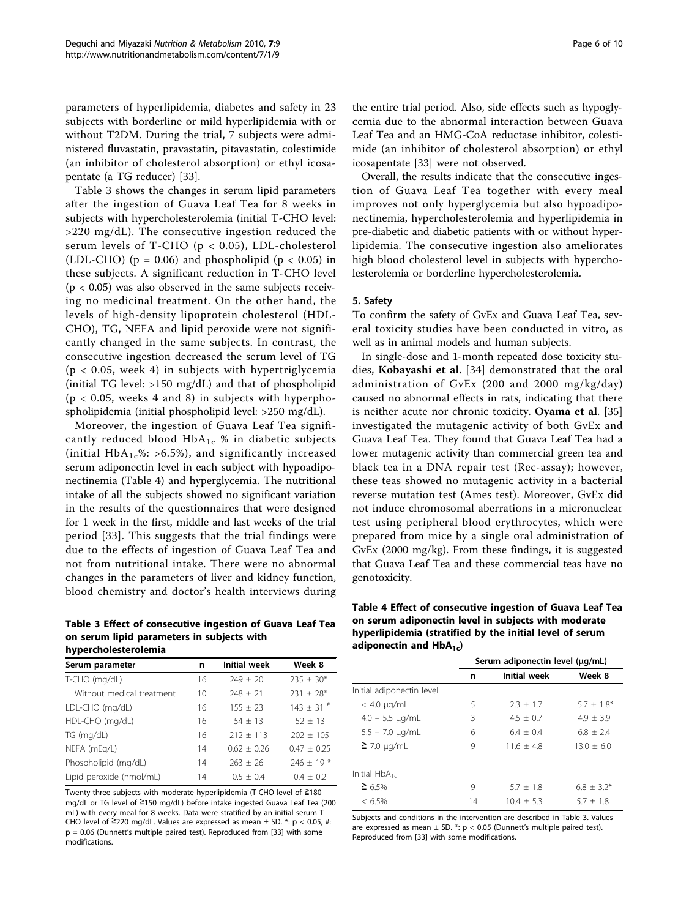<span id="page-5-0"></span>parameters of hyperlipidemia, diabetes and safety in 23 subjects with borderline or mild hyperlipidemia with or without T2DM. During the trial, 7 subjects were administered fluvastatin, pravastatin, pitavastatin, colestimide (an inhibitor of cholesterol absorption) or ethyl icosapentate (a TG reducer) [\[33\]](#page-8-0).

Table 3 shows the changes in serum lipid parameters after the ingestion of Guava Leaf Tea for 8 weeks in subjects with hypercholesterolemia (initial T-CHO level: >220 mg/dL). The consecutive ingestion reduced the serum levels of T-CHO (p < 0.05), LDL-cholesterol (LDL-CHO) ( $p = 0.06$ ) and phospholipid ( $p < 0.05$ ) in these subjects. A significant reduction in T-CHO level  $(p < 0.05)$  was also observed in the same subjects receiving no medicinal treatment. On the other hand, the levels of high-density lipoprotein cholesterol (HDL-CHO), TG, NEFA and lipid peroxide were not significantly changed in the same subjects. In contrast, the consecutive ingestion decreased the serum level of TG  $(p < 0.05,$  week 4) in subjects with hypertriglycemia (initial TG level: >150 mg/dL) and that of phospholipid  $(p < 0.05$ , weeks 4 and 8) in subjects with hyperphospholipidemia (initial phospholipid level: >250 mg/dL).

Moreover, the ingestion of Guava Leaf Tea significantly reduced blood  $HbA_{1c}$  % in diabetic subjects (initial  $HbA_1c\$  55\), and significantly increased serum adiponectin level in each subject with hypoadiponectinemia (Table 4) and hyperglycemia. The nutritional intake of all the subjects showed no significant variation in the results of the questionnaires that were designed for 1 week in the first, middle and last weeks of the trial period [\[33\]](#page-8-0). This suggests that the trial findings were due to the effects of ingestion of Guava Leaf Tea and not from nutritional intake. There were no abnormal changes in the parameters of liver and kidney function, blood chemistry and doctor's health interviews during

Table 3 Effect of consecutive ingestion of Guava Leaf Tea on serum lipid parameters in subjects with hypercholesterolemia

| Serum parameter           | n  | Initial week  | Week 8                    |  |
|---------------------------|----|---------------|---------------------------|--|
| T-CHO (mg/dL)             | 16 | $749 + 70$    | $235 \pm 30*$             |  |
| Without medical treatment | 10 | $248 \pm 21$  | $231 \pm 28$ *            |  |
| LDL-CHO (mg/dL)           | 16 | $155 + 23$    | $143 \pm 31$ <sup>#</sup> |  |
| HDL-CHO (mg/dL)           | 16 | $54 + 13$     | $52 + 13$                 |  |
| TG (mg/dL)                | 16 | $212 + 113$   | $202 + 105$               |  |
| NEFA (mEg/L)              | 14 | $0.62 + 0.26$ | $0.47 + 0.25$             |  |
| Phospholipid (mg/dL)      | 14 | $263 + 26$    | $746 + 19*$               |  |
| Lipid peroxide (nmol/mL)  | 14 | $0.5 + 0.4$   | $0.4 + 0.2$               |  |

Twenty-three subjects with moderate hyperlipidemia (T-CHO level of ≧180 mg/dL or TG level of ≧150 mg/dL) before intake ingested Guava Leaf Tea (200 mL) with every meal for 8 weeks. Data were stratified by an initial serum T-CHO level of ≧220 mg/dL. Values are expressed as mean  $\pm$  SD. \*: p < 0.05, #: p = 0.06 (Dunnett's multiple paired test). Reproduced from [\[33](#page-8-0)] with some modifications.

the entire trial period. Also, side effects such as hypoglycemia due to the abnormal interaction between Guava Leaf Tea and an HMG-CoA reductase inhibitor, colestimide (an inhibitor of cholesterol absorption) or ethyl icosapentate [\[33](#page-8-0)] were not observed.

Overall, the results indicate that the consecutive ingestion of Guava Leaf Tea together with every meal improves not only hyperglycemia but also hypoadiponectinemia, hypercholesterolemia and hyperlipidemia in pre-diabetic and diabetic patients with or without hyperlipidemia. The consecutive ingestion also ameliorates high blood cholesterol level in subjects with hypercholesterolemia or borderline hypercholesterolemia.

#### 5. Safety

To confirm the safety of GvEx and Guava Leaf Tea, several toxicity studies have been conducted in vitro, as well as in animal models and human subjects.

In single-dose and 1-month repeated dose toxicity studies, Kobayashi et al. [\[34](#page-8-0)] demonstrated that the oral administration of GvEx (200 and 2000 mg/kg/day) caused no abnormal effects in rats, indicating that there is neither acute nor chronic toxicity. Oyama et al. [\[35](#page-8-0)] investigated the mutagenic activity of both GvEx and Guava Leaf Tea. They found that Guava Leaf Tea had a lower mutagenic activity than commercial green tea and black tea in a DNA repair test (Rec-assay); however, these teas showed no mutagenic activity in a bacterial reverse mutation test (Ames test). Moreover, GvEx did not induce chromosomal aberrations in a micronuclear test using peripheral blood erythrocytes, which were prepared from mice by a single oral administration of GvEx (2000 mg/kg). From these findings, it is suggested that Guava Leaf Tea and these commercial teas have no genotoxicity.

Table 4 Effect of consecutive ingestion of Guava Leaf Tea on serum adiponectin level in subjects with moderate hyperlipidemia (stratified by the initial level of serum adiponectin and  $HbA_{1c}$ )

|                           | Serum adiponectin level (ug/mL) |                     |                |  |
|---------------------------|---------------------------------|---------------------|----------------|--|
|                           | n                               | <b>Initial week</b> | Week 8         |  |
| Initial adiponectin level |                                 |                     |                |  |
| $<$ 4.0 $\mu$ g/mL        | 5                               | $2.3 + 1.7$         | $5.7 + 1.8*$   |  |
| $4.0 - 5.5 \mu q/mL$      | 3                               | $4.5 + 0.7$         | $4.9 + 3.9$    |  |
| $5.5 - 7.0 \mu q/mL$      | 6                               | $6.4 + 0.4$         | $6.8 + 2.4$    |  |
| $\geq$ 7.0 µg/mL          | 9                               | $11.6 + 4.8$        | $13.0 \pm 6.0$ |  |
| Initial $HbA_{1c}$        |                                 |                     |                |  |
| $\geq 6.5\%$              | 9                               | $5.7 + 1.8$         | $6.8 \pm 3.2*$ |  |
| $< 6.5\%$                 | 14                              | $10.4 + 5.3$        | $5.7 + 1.8$    |  |

Subjects and conditions in the intervention are described in Table 3. Values are expressed as mean  $\pm$  SD. \*: p < 0.05 (Dunnett's multiple paired test). Reproduced from [[33\]](#page-8-0) with some modifications.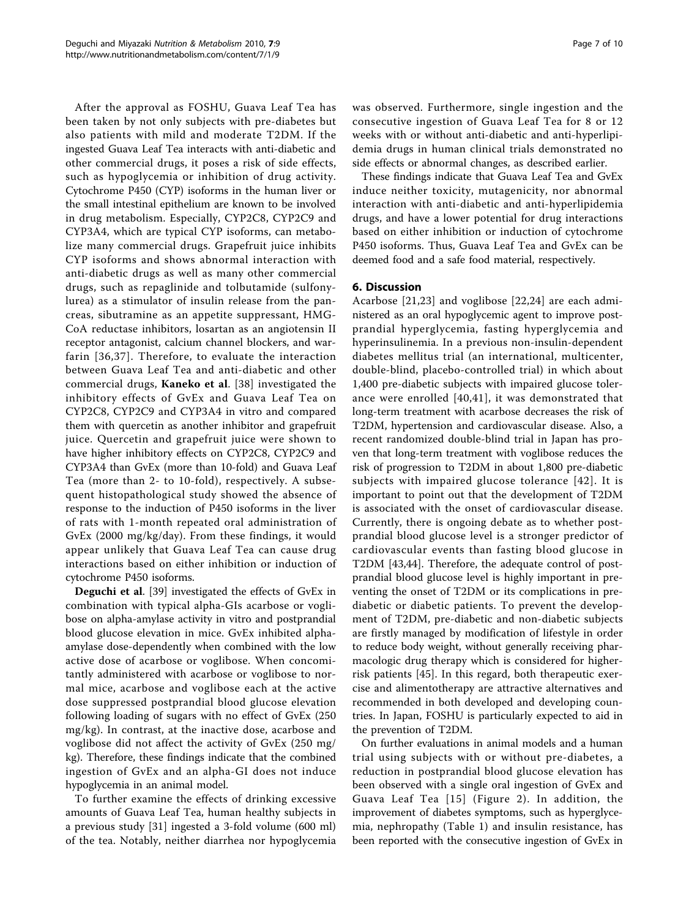After the approval as FOSHU, Guava Leaf Tea has been taken by not only subjects with pre-diabetes but also patients with mild and moderate T2DM. If the ingested Guava Leaf Tea interacts with anti-diabetic and other commercial drugs, it poses a risk of side effects, such as hypoglycemia or inhibition of drug activity. Cytochrome P450 (CYP) isoforms in the human liver or the small intestinal epithelium are known to be involved in drug metabolism. Especially, CYP2C8, CYP2C9 and CYP3A4, which are typical CYP isoforms, can metabolize many commercial drugs. Grapefruit juice inhibits CYP isoforms and shows abnormal interaction with anti-diabetic drugs as well as many other commercial drugs, such as repaglinide and tolbutamide (sulfonylurea) as a stimulator of insulin release from the pancreas, sibutramine as an appetite suppressant, HMG-CoA reductase inhibitors, losartan as an angiotensin II receptor antagonist, calcium channel blockers, and warfarin [[36](#page-8-0),[37](#page-8-0)]. Therefore, to evaluate the interaction between Guava Leaf Tea and anti-diabetic and other commercial drugs, Kaneko et al. [[38](#page-8-0)] investigated the inhibitory effects of GvEx and Guava Leaf Tea on CYP2C8, CYP2C9 and CYP3A4 in vitro and compared them with quercetin as another inhibitor and grapefruit juice. Quercetin and grapefruit juice were shown to have higher inhibitory effects on CYP2C8, CYP2C9 and CYP3A4 than GvEx (more than 10-fold) and Guava Leaf Tea (more than 2- to 10-fold), respectively. A subsequent histopathological study showed the absence of response to the induction of P450 isoforms in the liver of rats with 1-month repeated oral administration of GvEx (2000 mg/kg/day). From these findings, it would appear unlikely that Guava Leaf Tea can cause drug interactions based on either inhibition or induction of cytochrome P450 isoforms.

Deguchi et al. [[39\]](#page-8-0) investigated the effects of GvEx in combination with typical alpha-GIs acarbose or voglibose on alpha-amylase activity in vitro and postprandial blood glucose elevation in mice. GvEx inhibited alphaamylase dose-dependently when combined with the low active dose of acarbose or voglibose. When concomitantly administered with acarbose or voglibose to normal mice, acarbose and voglibose each at the active dose suppressed postprandial blood glucose elevation following loading of sugars with no effect of GvEx (250 mg/kg). In contrast, at the inactive dose, acarbose and voglibose did not affect the activity of GvEx (250 mg/ kg). Therefore, these findings indicate that the combined ingestion of GvEx and an alpha-GI does not induce hypoglycemia in an animal model.

To further examine the effects of drinking excessive amounts of Guava Leaf Tea, human healthy subjects in a previous study [[31\]](#page-8-0) ingested a 3-fold volume (600 ml) of the tea. Notably, neither diarrhea nor hypoglycemia

was observed. Furthermore, single ingestion and the consecutive ingestion of Guava Leaf Tea for 8 or 12 weeks with or without anti-diabetic and anti-hyperlipidemia drugs in human clinical trials demonstrated no side effects or abnormal changes, as described earlier.

These findings indicate that Guava Leaf Tea and GvEx induce neither toxicity, mutagenicity, nor abnormal interaction with anti-diabetic and anti-hyperlipidemia drugs, and have a lower potential for drug interactions based on either inhibition or induction of cytochrome P450 isoforms. Thus, Guava Leaf Tea and GvEx can be deemed food and a safe food material, respectively.

# 6. Discussion

Acarbose [[21,23](#page-8-0)] and voglibose [\[22,24](#page-8-0)] are each administered as an oral hypoglycemic agent to improve postprandial hyperglycemia, fasting hyperglycemia and hyperinsulinemia. In a previous non-insulin-dependent diabetes mellitus trial (an international, multicenter, double-blind, placebo-controlled trial) in which about 1,400 pre-diabetic subjects with impaired glucose tolerance were enrolled [\[40,41\]](#page-8-0), it was demonstrated that long-term treatment with acarbose decreases the risk of T2DM, hypertension and cardiovascular disease. Also, a recent randomized double-blind trial in Japan has proven that long-term treatment with voglibose reduces the risk of progression to T2DM in about 1,800 pre-diabetic subjects with impaired glucose tolerance [[42](#page-9-0)]. It is important to point out that the development of T2DM is associated with the onset of cardiovascular disease. Currently, there is ongoing debate as to whether postprandial blood glucose level is a stronger predictor of cardiovascular events than fasting blood glucose in T2DM [\[43,44](#page-9-0)]. Therefore, the adequate control of postprandial blood glucose level is highly important in preventing the onset of T2DM or its complications in prediabetic or diabetic patients. To prevent the development of T2DM, pre-diabetic and non-diabetic subjects are firstly managed by modification of lifestyle in order to reduce body weight, without generally receiving pharmacologic drug therapy which is considered for higherrisk patients [[45\]](#page-9-0). In this regard, both therapeutic exercise and alimentotherapy are attractive alternatives and recommended in both developed and developing countries. In Japan, FOSHU is particularly expected to aid in the prevention of T2DM.

On further evaluations in animal models and a human trial using subjects with or without pre-diabetes, a reduction in postprandial blood glucose elevation has been observed with a single oral ingestion of GvEx and Guava Leaf Tea [[15\]](#page-8-0) (Figure [2](#page-3-0)). In addition, the improvement of diabetes symptoms, such as hyperglycemia, nephropathy (Table [1](#page-4-0)) and insulin resistance, has been reported with the consecutive ingestion of GvEx in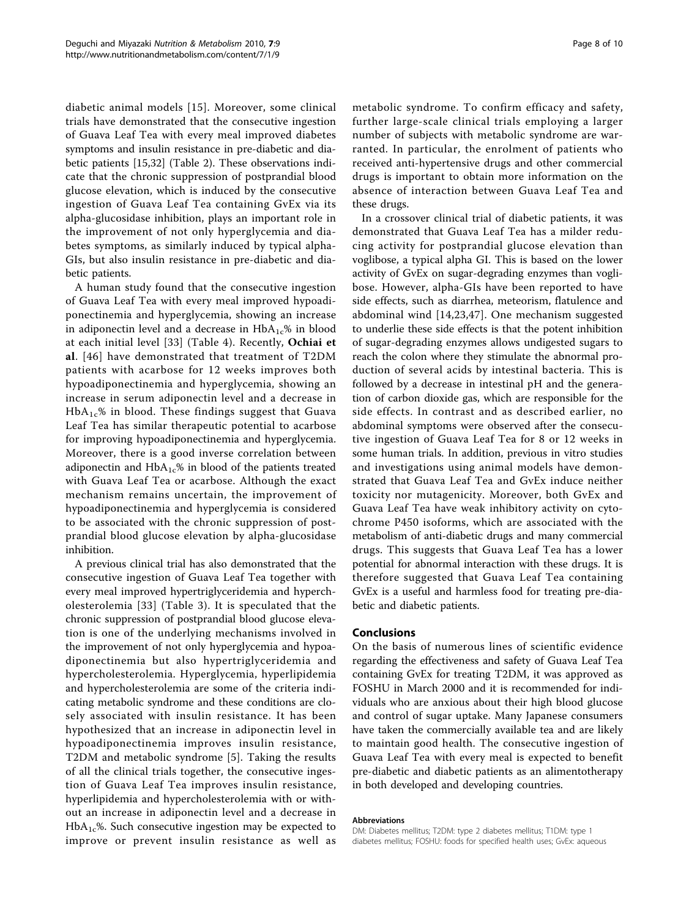diabetic animal models [\[15\]](#page-8-0). Moreover, some clinical trials have demonstrated that the consecutive ingestion of Guava Leaf Tea with every meal improved diabetes symptoms and insulin resistance in pre-diabetic and diabetic patients [\[15,32\]](#page-8-0) (Table [2\)](#page-4-0). These observations indicate that the chronic suppression of postprandial blood glucose elevation, which is induced by the consecutive ingestion of Guava Leaf Tea containing GvEx via its alpha-glucosidase inhibition, plays an important role in the improvement of not only hyperglycemia and diabetes symptoms, as similarly induced by typical alpha-GIs, but also insulin resistance in pre-diabetic and diabetic patients.

A human study found that the consecutive ingestion of Guava Leaf Tea with every meal improved hypoadiponectinemia and hyperglycemia, showing an increase in adiponectin level and a decrease in  $HbA_{1c}\%$  in blood at each initial level [[33](#page-8-0)] (Table [4\)](#page-5-0). Recently, Ochiai et al. [[46](#page-9-0)] have demonstrated that treatment of T2DM patients with acarbose for 12 weeks improves both hypoadiponectinemia and hyperglycemia, showing an increase in serum adiponectin level and a decrease in  $HbA_{1c}$ % in blood. These findings suggest that Guava Leaf Tea has similar therapeutic potential to acarbose for improving hypoadiponectinemia and hyperglycemia. Moreover, there is a good inverse correlation between adiponectin and  $HbA_{1c}$ % in blood of the patients treated with Guava Leaf Tea or acarbose. Although the exact mechanism remains uncertain, the improvement of hypoadiponectinemia and hyperglycemia is considered to be associated with the chronic suppression of postprandial blood glucose elevation by alpha-glucosidase inhibition.

A previous clinical trial has also demonstrated that the consecutive ingestion of Guava Leaf Tea together with every meal improved hypertriglyceridemia and hypercholesterolemia [[33](#page-8-0)] (Table [3](#page-5-0)). It is speculated that the chronic suppression of postprandial blood glucose elevation is one of the underlying mechanisms involved in the improvement of not only hyperglycemia and hypoadiponectinemia but also hypertriglyceridemia and hypercholesterolemia. Hyperglycemia, hyperlipidemia and hypercholesterolemia are some of the criteria indicating metabolic syndrome and these conditions are closely associated with insulin resistance. It has been hypothesized that an increase in adiponectin level in hypoadiponectinemia improves insulin resistance, T2DM and metabolic syndrome [[5\]](#page-8-0). Taking the results of all the clinical trials together, the consecutive ingestion of Guava Leaf Tea improves insulin resistance, hyperlipidemia and hypercholesterolemia with or without an increase in adiponectin level and a decrease in  $HbA<sub>1c</sub>$ %. Such consecutive ingestion may be expected to improve or prevent insulin resistance as well as metabolic syndrome. To confirm efficacy and safety, further large-scale clinical trials employing a larger number of subjects with metabolic syndrome are warranted. In particular, the enrolment of patients who received anti-hypertensive drugs and other commercial drugs is important to obtain more information on the absence of interaction between Guava Leaf Tea and these drugs.

In a crossover clinical trial of diabetic patients, it was demonstrated that Guava Leaf Tea has a milder reducing activity for postprandial glucose elevation than voglibose, a typical alpha GI. This is based on the lower activity of GvEx on sugar-degrading enzymes than voglibose. However, alpha-GIs have been reported to have side effects, such as diarrhea, meteorism, flatulence and abdominal wind [\[14](#page-8-0),[23,](#page-8-0)[47](#page-9-0)]. One mechanism suggested to underlie these side effects is that the potent inhibition of sugar-degrading enzymes allows undigested sugars to reach the colon where they stimulate the abnormal production of several acids by intestinal bacteria. This is followed by a decrease in intestinal pH and the generation of carbon dioxide gas, which are responsible for the side effects. In contrast and as described earlier, no abdominal symptoms were observed after the consecutive ingestion of Guava Leaf Tea for 8 or 12 weeks in some human trials. In addition, previous in vitro studies and investigations using animal models have demonstrated that Guava Leaf Tea and GvEx induce neither toxicity nor mutagenicity. Moreover, both GvEx and Guava Leaf Tea have weak inhibitory activity on cytochrome P450 isoforms, which are associated with the metabolism of anti-diabetic drugs and many commercial drugs. This suggests that Guava Leaf Tea has a lower potential for abnormal interaction with these drugs. It is therefore suggested that Guava Leaf Tea containing GvEx is a useful and harmless food for treating pre-diabetic and diabetic patients.

#### Conclusions

On the basis of numerous lines of scientific evidence regarding the effectiveness and safety of Guava Leaf Tea containing GvEx for treating T2DM, it was approved as FOSHU in March 2000 and it is recommended for individuals who are anxious about their high blood glucose and control of sugar uptake. Many Japanese consumers have taken the commercially available tea and are likely to maintain good health. The consecutive ingestion of Guava Leaf Tea with every meal is expected to benefit pre-diabetic and diabetic patients as an alimentotherapy in both developed and developing countries.

#### Abbreviations

DM: Diabetes mellitus; T2DM: type 2 diabetes mellitus; T1DM: type 1 diabetes mellitus; FOSHU: foods for specified health uses; GvEx: aqueous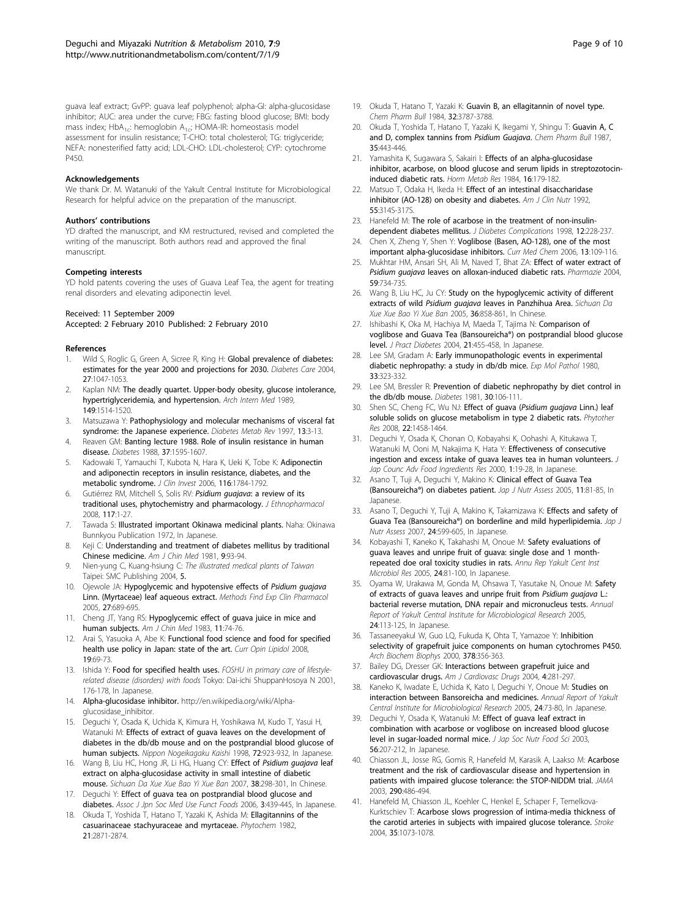<span id="page-8-0"></span>guava leaf extract; GvPP: guava leaf polyphenol; alpha-GI: alpha-glucosidase inhibitor; AUC: area under the curve; FBG: fasting blood glucose; BMI: body mass index;  $HbA_{1c}$ : hemoglobin  $A_{1c}$ ; HOMA-IR: homeostasis model assessment for insulin resistance; T-CHO: total cholesterol; TG: triglyceride; NEFA: nonesterified fatty acid; LDL-CHO: LDL-cholesterol; CYP: cytochrome P450.

#### Acknowledgements

We thank Dr. M. Watanuki of the Yakult Central Institute for Microbiological Research for helpful advice on the preparation of the manuscript.

#### Authors' contributions

YD drafted the manuscript, and KM restructured, revised and completed the writing of the manuscript. Both authors read and approved the final manuscript.

#### Competing interests

YD hold patents covering the uses of Guava Leaf Tea, the agent for treating renal disorders and elevating adiponectin level.

#### Received: 11 September 2009

Accepted: 2 February 2010 Published: 2 February 2010

#### References

- 1. Wild S, Roglic G, Green A, Sicree R, King H: [Global prevalence of diabetes:](http://www.ncbi.nlm.nih.gov/pubmed/15111519?dopt=Abstract) [estimates for the year 2000 and projections for 2030.](http://www.ncbi.nlm.nih.gov/pubmed/15111519?dopt=Abstract) Diabetes Care 2004, 27:1047-1053.
- 2. Kaplan NM: [The deadly quartet. Upper-body obesity, glucose intolerance,](http://www.ncbi.nlm.nih.gov/pubmed/2662932?dopt=Abstract) [hypertriglyceridemia, and hypertension.](http://www.ncbi.nlm.nih.gov/pubmed/2662932?dopt=Abstract) Arch Intern Med 1989, 149:1514-1520.
- 3. Matsuzawa Y: [Pathophysiology and molecular mechanisms of visceral fat](http://www.ncbi.nlm.nih.gov/pubmed/9134345?dopt=Abstract) [syndrome: the Japanese experience.](http://www.ncbi.nlm.nih.gov/pubmed/9134345?dopt=Abstract) Diabetes Metab Rev 1997, 13:3-13.
- 4. Reaven GM: [Banting lecture 1988. Role of insulin resistance in human](http://www.ncbi.nlm.nih.gov/pubmed/3056758?dopt=Abstract) [disease.](http://www.ncbi.nlm.nih.gov/pubmed/3056758?dopt=Abstract) Diabetes 1988, 37:1595-1607.
- 5. Kadowaki T, Yamauchi T, Kubota N, Hara K, Ueki K, Tobe K: [Adiponectin](http://www.ncbi.nlm.nih.gov/pubmed/16823476?dopt=Abstract) [and adiponectin receptors in insulin resistance, diabetes, and the](http://www.ncbi.nlm.nih.gov/pubmed/16823476?dopt=Abstract) [metabolic syndrome.](http://www.ncbi.nlm.nih.gov/pubmed/16823476?dopt=Abstract) J Clin Invest 2006, 116:1784-1792.
- 6. Gutiérrez RM, Mitchell S, Solis RV: [Psidium guajava](http://www.ncbi.nlm.nih.gov/pubmed/18353572?dopt=Abstract): a review of its [traditional uses, phytochemistry and pharmacology.](http://www.ncbi.nlm.nih.gov/pubmed/18353572?dopt=Abstract) J Ethnopharmacol 2008, 117:1-27.
- 7. Tawada S: Illustrated important Okinawa medicinal plants. Naha: Okinawa Bunnkyou Publication 1972, In Japanese.
- 8. Keji C: [Understanding and treatment of diabetes mellitus by traditional](http://www.ncbi.nlm.nih.gov/pubmed/7304503?dopt=Abstract) [Chinese medicine.](http://www.ncbi.nlm.nih.gov/pubmed/7304503?dopt=Abstract) Am J Chin Med 1981, 9:93-94.
- 9. Nien-yung C, Kuang-hsiung C: The illustrated medical plants of Taiwan Taipei: SMC Publishing 2004, 5.
- 10. Ojewole JA: [Hypoglycemic and hypotensive effects of](http://www.ncbi.nlm.nih.gov/pubmed/16395418?dopt=Abstract) Psidium guajava [Linn. \(Myrtaceae\) leaf aqueous extract.](http://www.ncbi.nlm.nih.gov/pubmed/16395418?dopt=Abstract) Methods Find Exp Clin Pharmacol 2005, 27:689-695.
- 11. Cheng JT, Yang RS: [Hypoglycemic effect of guava juice in mice and](http://www.ncbi.nlm.nih.gov/pubmed/6660217?dopt=Abstract) [human subjects.](http://www.ncbi.nlm.nih.gov/pubmed/6660217?dopt=Abstract) Am J Chin Med 1983, 11:74-76.
- 12. Arai S, Yasuoka A, Abe K: [Functional food science and food for specified](http://www.ncbi.nlm.nih.gov/pubmed/18196990?dopt=Abstract) [health use policy in Japan: state of the art.](http://www.ncbi.nlm.nih.gov/pubmed/18196990?dopt=Abstract) Curr Opin Lipidol 2008, 19:69-73.
- 13. Ishida Y: Food for specified health uses. FOSHU in primary care of lifestylerelated disease (disorders) with foods Tokyo: Dai-ichi ShuppanHosoya N 2001, 176-178, In Japanese.
- 14. Alpha-glucosidase inhibitor. [http://en.wikipedia.org/wiki/Alpha](http://en.wikipedia.org/wiki/Alpha-glucosidase_inhibitor)[glucosidase\\_inhibitor.](http://en.wikipedia.org/wiki/Alpha-glucosidase_inhibitor)
- 15. Deguchi Y, Osada K, Uchida K, Kimura H, Yoshikawa M, Kudo T, Yasui H, Watanuki M: Effects of extract of guava leaves on the development of diabetes in the db/db mouse and on the postprandial blood glucose of human subjects. Nippon Nogeikagaku Kaishi 1998, 72:923-932, In Japanese.
- 16. Wang B, Liu HC, Hong JR, Li HG, Huang CY: Effect of [Psidium guajava](http://www.ncbi.nlm.nih.gov/pubmed/17441354?dopt=Abstract) leaf [extract on alpha-glucosidase activity in small intestine of diabetic](http://www.ncbi.nlm.nih.gov/pubmed/17441354?dopt=Abstract) [mouse.](http://www.ncbi.nlm.nih.gov/pubmed/17441354?dopt=Abstract) Sichuan Da Xue Xue Bao Yi Xue Ban 2007, 38:298-301, In Chinese.
- 17. Deguchi Y: Effect of guava tea on postprandial blood glucose and diabetes. Assoc J Jpn Soc Med Use Funct Foods 2006, 3:439-445, In Japanese.
- 18. Okuda T, Yoshida T, Hatano T, Yazaki K, Ashida M: Ellagitannins of the casuarinaceae stachyuraceae and myrtaceae. Phytochem 1982, 21:2871-2874.

Page 9 of 10

- 19. Okuda T, Hatano T, Yazaki K: [Guavin B, an ellagitannin of novel type.](http://www.ncbi.nlm.nih.gov/pubmed/6525667?dopt=Abstract) Chem Pharm Bull 1984, 32:3787-3788.
- 20. Okuda T, Yoshida T, Hatano T, Yazaki K, Ikegami Y, Shingu T: Guavin A, C and D, complex tannins from Psidium Guajava. Chem Pharm Bull 1987, 35:443-446.
- 21. Yamashita K, Sugawara S, Sakairi I: [Effects of an alpha-glucosidase](http://www.ncbi.nlm.nih.gov/pubmed/6373545?dopt=Abstract) [inhibitor, acarbose, on blood glucose and serum lipids in streptozotocin](http://www.ncbi.nlm.nih.gov/pubmed/6373545?dopt=Abstract)[induced diabetic rats.](http://www.ncbi.nlm.nih.gov/pubmed/6373545?dopt=Abstract) Horm Metab Res 1984, 16:179-182.
- Matsuo T, Odaka H, Ikeda H: [Effect of an intestinal disaccharidase](http://www.ncbi.nlm.nih.gov/pubmed/1728846?dopt=Abstract) [inhibitor \(AO-128\) on obesity and diabetes.](http://www.ncbi.nlm.nih.gov/pubmed/1728846?dopt=Abstract) Am J Clin Nutr 1992, 55:314S-317S.
- 23. Hanefeld M: [The role of acarbose in the treatment of non-insulin](http://www.ncbi.nlm.nih.gov/pubmed/9647342?dopt=Abstract)[dependent diabetes mellitus.](http://www.ncbi.nlm.nih.gov/pubmed/9647342?dopt=Abstract) *J Diabetes Complications* 1998, 12:228-237.
- 24. Chen X, Zheng Y, Shen Y: [Voglibose \(Basen, AO-128\), one of the most](http://www.ncbi.nlm.nih.gov/pubmed/16457643?dopt=Abstract) [important alpha-glucosidase inhibitors.](http://www.ncbi.nlm.nih.gov/pubmed/16457643?dopt=Abstract) Curr Med Chem 2006, 13:109-116.
- 25. Mukhtar HM, Ansari SH, Ali M, Naved T, Bhat ZA: [Effect of water extract of](http://www.ncbi.nlm.nih.gov/pubmed/15497764?dopt=Abstract) Psidium guajava [leaves on alloxan-induced diabetic rats.](http://www.ncbi.nlm.nih.gov/pubmed/15497764?dopt=Abstract) Pharmazie 2004, 59:734-735.
- 26. Wang B, Liu HC, Ju CY: [Study on the hypoglycemic activity of different](http://www.ncbi.nlm.nih.gov/pubmed/16334572?dopt=Abstract) extracts of wild Psidium guajava [leaves in Panzhihua Area.](http://www.ncbi.nlm.nih.gov/pubmed/16334572?dopt=Abstract) Sichuan Da Xue Xue Bao Yi Xue Ban 2005, 36:858-861, In Chinese.
- 27. Ishibashi K, Oka M, Hachiya M, Maeda T, Tajima N: Comparison of voglibose and Guava Tea (Bansoureicha®) on postprandial blood glucose level. J Pract Diabetes 2004, 21:455-458, In Japanese.
- 28. Lee SM, Gradam A: [Early immunopathologic events in experimental](http://www.ncbi.nlm.nih.gov/pubmed/7004900?dopt=Abstract) [diabetic nephropathy: a study in db/db mice.](http://www.ncbi.nlm.nih.gov/pubmed/7004900?dopt=Abstract) Exp Mol Pathol 1980, 33:323-332.
- 29. Lee SM, Bressler R: [Prevention of diabetic nephropathy by diet control in](http://www.ncbi.nlm.nih.gov/pubmed/7009265?dopt=Abstract) [the db/db mouse.](http://www.ncbi.nlm.nih.gov/pubmed/7009265?dopt=Abstract) Diabetes 1981, 30:106-111
- 30. Shen SC, Cheng FC, Wu NJ: Effect of quava (Psidium quajava Linn.) leaf [soluble solids on glucose metabolism in type 2 diabetic rats.](http://www.ncbi.nlm.nih.gov/pubmed/18819164?dopt=Abstract) Phytother Res 2008, 22:1458-1464.
- 31. Deguchi Y, Osada K, Chonan O, Kobayahsi K, Oohashi A, Kitukawa T, Watanuki M, Ooni M, Nakajima K, Hata Y: Effectiveness of consecutive ingestion and excess intake of guava leaves tea in human volunteers. J Jap Counc Adv Food Ingredients Res 2000, 1:19-28, In Japanese
- 32. Asano T, Tuji A, Deguchi Y, Makino K: Clinical effect of Guava Tea (Bansoureicha®) on diabetes patient. Jap J Nutr Assess 2005, 11:81-85, In Japanese.
- 33. Asano T, Deguchi Y, Tuji A, Makino K, Takamizawa K: Effects and safety of Guava Tea (Bansoureicha®) on borderline and mild hyperlipidemia. Jap J Nutr Assess 2007, 24:599-605, In Japanese.
- 34. Kobayashi T, Kaneko K, Takahashi M, Onoue M: Safety evaluations of guava leaves and unripe fruit of guava: single dose and 1 monthrepeated doe oral toxicity studies in rats. Annu Rep Yakult Cent Inst Microbiol Res 2005, 24:81-100, In Japanese.
- 35. Oyama W, Urakawa M, Gonda M, Ohsawa T, Yasutake N, Onoue M: Safety of extracts of guava leaves and unripe fruit from Psidium guajava L.: bacterial reverse mutation, DNA repair and micronucleus tests. Annual Report of Yakult Central Institute for Microbiological Research 2005, 24:113-125, In Japanese.
- 36. Tassaneeyakul W, Guo LQ, Fukuda K, Ohta T, Yamazoe Y: [Inhibition](http://www.ncbi.nlm.nih.gov/pubmed/10860553?dopt=Abstract) [selectivity of grapefruit juice components on human cytochromes P450.](http://www.ncbi.nlm.nih.gov/pubmed/10860553?dopt=Abstract) Arch Biochem Biophys 2000, 378:356-363.
- 37. Bailey DG, Dresser GK: [Interactions between grapefruit juice and](http://www.ncbi.nlm.nih.gov/pubmed/15449971?dopt=Abstract) [cardiovascular drugs.](http://www.ncbi.nlm.nih.gov/pubmed/15449971?dopt=Abstract) Am J Cardiovasc Drugs 2004, 4:281-297.
- 38. Kaneko K, Iwadate E, Uchida K, Kato I, Deguchi Y, Onoue M: Studies on interaction between Bansoreicha and medicines. Annual Report of Yakult Central Institute for Microbiological Research 2005, 24:73-80, In Japanese
- 39. Deguchi Y, Osada K, Watanuki M: Effect of guava leaf extract in combination with acarbose or voglibose on increased blood glucose level in sugar-loaded normal mice. J Jap Soc Nutr Food Sci 2003, 56:207-212, In Japanese.
- 40. Chiasson JL, Josse RG, Gomis R, Hanefeld M, Karasik A, Laakso M: [Acarbose](http://www.ncbi.nlm.nih.gov/pubmed/12876091?dopt=Abstract) [treatment and the risk of cardiovascular disease and hypertension in](http://www.ncbi.nlm.nih.gov/pubmed/12876091?dopt=Abstract) [patients with impaired glucose tolerance: the STOP-NIDDM trial.](http://www.ncbi.nlm.nih.gov/pubmed/12876091?dopt=Abstract) JAMA 2003, 290:486-494.
- 41. Hanefeld M, Chiasson JL, Koehler C, Henkel E, Schaper F, Temelkova-Kurktschiev T: [Acarbose slows progression of intima-media thickness of](http://www.ncbi.nlm.nih.gov/pubmed/15073402?dopt=Abstract) [the carotid arteries in subjects with impaired glucose tolerance.](http://www.ncbi.nlm.nih.gov/pubmed/15073402?dopt=Abstract) Stroke 2004, 35:1073-1078.